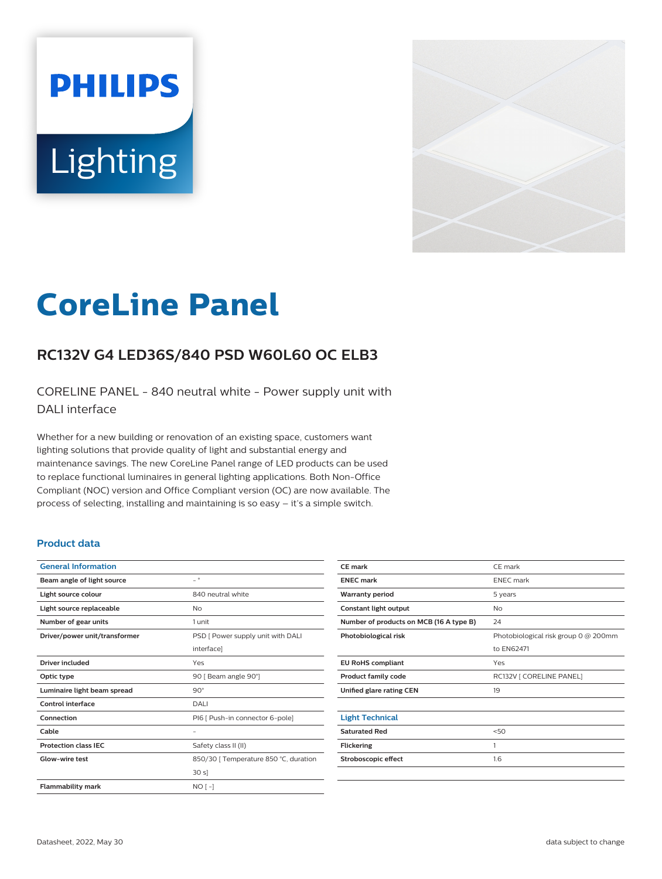# **PHILIPS** Lighting



# **CoreLine Panel**

# **RC132V G4 LED36S/840 PSD W60L60 OC ELB3**

CORELINE PANEL - 840 neutral white - Power supply unit with DALI interface

Whether for a new building or renovation of an existing space, customers want lighting solutions that provide quality of light and substantial energy and maintenance savings. The new CoreLine Panel range of LED products can be used to replace functional luminaires in general lighting applications. Both Non-Office Compliant (NOC) version and Office Compliant version (OC) are now available. The process of selecting, installing and maintaining is so easy – it's a simple switch.

#### **Product data**

| <b>General Information</b>    |                                       |  |
|-------------------------------|---------------------------------------|--|
| Beam angle of light source    | $\overline{\phantom{0}}$              |  |
| Light source colour           | 840 neutral white                     |  |
| Light source replaceable      | No                                    |  |
| Number of gear units          | 1 unit                                |  |
| Driver/power unit/transformer | PSD [ Power supply unit with DALI     |  |
|                               | interface]                            |  |
| <b>Driver included</b>        | Yes                                   |  |
| Optic type                    | 90   Beam angle 90°]                  |  |
| Luminaire light beam spread   | $90^\circ$                            |  |
| Control interface             | DALI                                  |  |
| Connection                    | PI6 [ Push-in connector 6-pole]       |  |
| Cable                         |                                       |  |
| <b>Protection class IEC</b>   | Safety class II (II)                  |  |
| Glow-wire test                | 850/30   Temperature 850 °C, duration |  |
|                               | 30 s                                  |  |
| <b>Flammability mark</b>      | $NO[-]$                               |  |
|                               |                                       |  |

| CE mark                                 | CE mark                              |  |
|-----------------------------------------|--------------------------------------|--|
| <b>ENEC mark</b>                        | <b>ENEC</b> mark                     |  |
| <b>Warranty period</b>                  | 5 years                              |  |
| Constant light output                   | No                                   |  |
| Number of products on MCB (16 A type B) | 24                                   |  |
| Photobiological risk                    | Photobiological risk group 0 @ 200mm |  |
|                                         | to EN62471                           |  |
| <b>EU RoHS compliant</b>                | Yes                                  |  |
| <b>Product family code</b>              | RC132V [ CORELINE PANEL]             |  |
| Unified glare rating CEN                | 19                                   |  |
|                                         |                                      |  |
| <b>Light Technical</b>                  |                                      |  |
| <b>Saturated Red</b>                    | 50                                   |  |
| <b>Flickering</b>                       | 1                                    |  |
| Stroboscopic effect                     | 1.6                                  |  |
|                                         |                                      |  |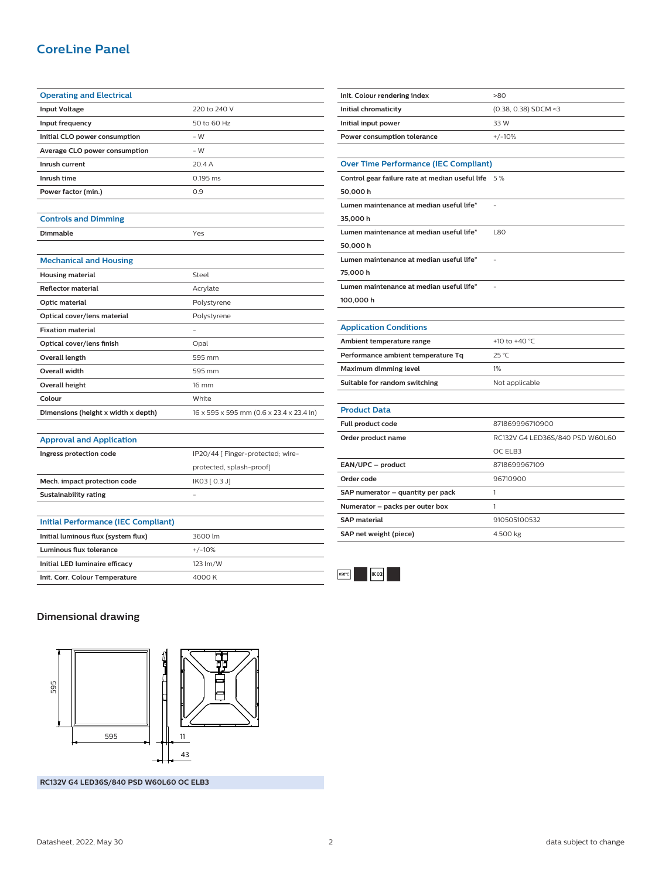## **CoreLine Panel**

| <b>Operating and Electrical</b>            |                                          |  |
|--------------------------------------------|------------------------------------------|--|
| <b>Input Voltage</b>                       | 220 to 240 V                             |  |
| Input frequency                            | 50 to 60 Hz                              |  |
| Initial CLO power consumption              | $-W$                                     |  |
| Average CLO power consumption              | $-W$                                     |  |
| Inrush current                             | 20.4 A                                   |  |
| Inrush time                                | 0.195 ms                                 |  |
| Power factor (min.)                        | 0.9                                      |  |
|                                            |                                          |  |
| <b>Controls and Dimming</b>                |                                          |  |
| <b>Dimmable</b>                            | Yes                                      |  |
|                                            |                                          |  |
| <b>Mechanical and Housing</b>              |                                          |  |
| <b>Housing material</b>                    | Steel                                    |  |
| <b>Reflector material</b>                  | Acrylate                                 |  |
| Optic material                             | Polystyrene                              |  |
| Optical cover/lens material                | Polystyrene                              |  |
| <b>Fixation material</b>                   |                                          |  |
| Optical cover/lens finish                  | Opal                                     |  |
| Overall length                             | 595 mm                                   |  |
| <b>Overall width</b>                       | 595 mm                                   |  |
| <b>Overall height</b>                      | 16 mm                                    |  |
| Colour                                     | White                                    |  |
| Dimensions (height x width x depth)        | 16 x 595 x 595 mm (0.6 x 23.4 x 23.4 in) |  |
|                                            |                                          |  |
| <b>Approval and Application</b>            |                                          |  |
| Ingress protection code                    | IP20/44 [ Finger-protected; wire-        |  |
|                                            | protected, splash-proof]                 |  |
| Mech. impact protection code               | IK03 [ 0.3 J]                            |  |
| <b>Sustainability rating</b>               |                                          |  |
|                                            |                                          |  |
| <b>Initial Performance (IEC Compliant)</b> |                                          |  |
| Initial luminous flux (system flux)        | 3600 lm                                  |  |
| <b>Luminous flux tolerance</b>             | $+/-10%$                                 |  |
| Initial LED luminaire efficacy             | 123 lm/W                                 |  |
| Init. Corr. Colour Temperature             | 4000 K                                   |  |

| Initial input power                                | 33 W                            |  |  |
|----------------------------------------------------|---------------------------------|--|--|
| Power consumption tolerance                        | $+/-10%$                        |  |  |
|                                                    |                                 |  |  |
| <b>Over Time Performance (IEC Compliant)</b>       |                                 |  |  |
| Control gear failure rate at median useful life 5% |                                 |  |  |
| 50,000h                                            |                                 |  |  |
| Lumen maintenance at median useful life*           |                                 |  |  |
| 35,000 h                                           |                                 |  |  |
| Lumen maintenance at median useful life*           | L80                             |  |  |
| 50,000 h                                           |                                 |  |  |
| Lumen maintenance at median useful life*           |                                 |  |  |
| 75,000 h                                           |                                 |  |  |
| Lumen maintenance at median useful life*           |                                 |  |  |
| 100,000 h                                          |                                 |  |  |
|                                                    |                                 |  |  |
| <b>Application Conditions</b>                      |                                 |  |  |
| Ambient temperature range                          | +10 to +40 °C                   |  |  |
| Performance ambient temperature Tq                 | 25 °C                           |  |  |
| Maximum dimming level                              | 1%                              |  |  |
| Suitable for random switching                      | Not applicable                  |  |  |
|                                                    |                                 |  |  |
| <b>Product Data</b>                                |                                 |  |  |
| Full product code                                  | 871869996710900                 |  |  |
| Order product name                                 | RC132V G4 LED36S/840 PSD W60L60 |  |  |
|                                                    | OC ELB3                         |  |  |
| EAN/UPC - product                                  | 8718699967109                   |  |  |
| Order code                                         | 96710900                        |  |  |
| SAP numerator - quantity per pack                  | 1                               |  |  |
| Numerator - packs per outer box                    | 1                               |  |  |
| <b>SAP</b> material                                | 910505100532                    |  |  |
| SAP net weight (piece)                             | 4.500 kg                        |  |  |

**Init. Colour rendering index** >80

**Initial chromaticity** (0.38, 0.38) SDCM <3



#### **Dimensional drawing**



**RC132V G4 LED36S/840 PSD W60L60 OC ELB3**